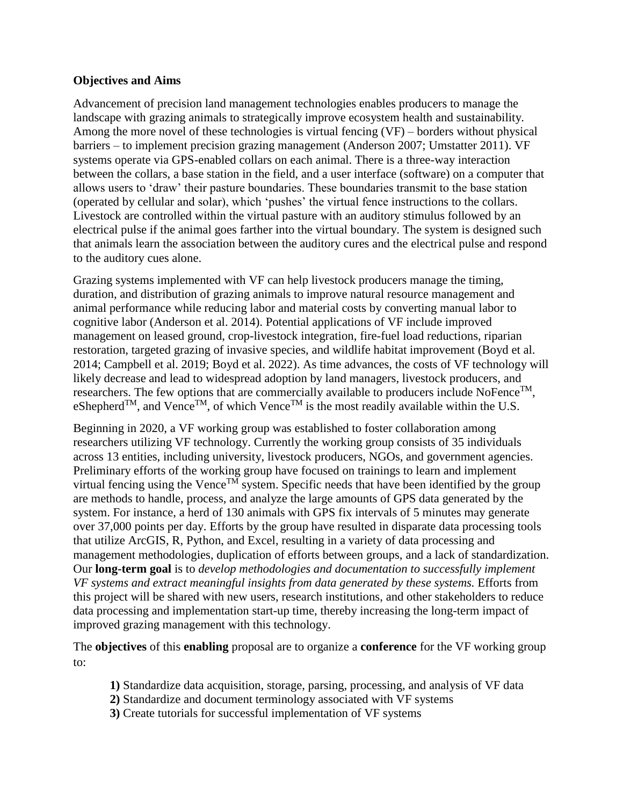## **Objectives and Aims**

Advancement of precision land management technologies enables producers to manage the landscape with grazing animals to strategically improve ecosystem health and sustainability. Among the more novel of these technologies is virtual fencing (VF) – borders without physical barriers – to implement precision grazing management (Anderson 2007; Umstatter 2011). VF systems operate via GPS-enabled collars on each animal. There is a three-way interaction between the collars, a base station in the field, and a user interface (software) on a computer that allows users to 'draw' their pasture boundaries. These boundaries transmit to the base station (operated by cellular and solar), which 'pushes' the virtual fence instructions to the collars. Livestock are controlled within the virtual pasture with an auditory stimulus followed by an electrical pulse if the animal goes farther into the virtual boundary. The system is designed such that animals learn the association between the auditory cures and the electrical pulse and respond to the auditory cues alone.

Grazing systems implemented with VF can help livestock producers manage the timing, duration, and distribution of grazing animals to improve natural resource management and animal performance while reducing labor and material costs by converting manual labor to cognitive labor (Anderson et al. 2014). Potential applications of VF include improved management on leased ground, crop-livestock integration, fire-fuel load reductions, riparian restoration, targeted grazing of invasive species, and wildlife habitat improvement (Boyd et al. 2014; Campbell et al. 2019; Boyd et al. 2022). As time advances, the costs of VF technology will likely decrease and lead to widespread adoption by land managers, livestock producers, and researchers. The few options that are commercially available to producers include NoFence<sup>TM</sup>, eShepherd<sup>TM</sup>, and Vence<sup>TM</sup>, of which Vence<sup>TM</sup> is the most readily available within the U.S.

Beginning in 2020, a VF working group was established to foster collaboration among researchers utilizing VF technology. Currently the working group consists of 35 individuals across 13 entities, including university, livestock producers, NGOs, and government agencies. Preliminary efforts of the working group have focused on trainings to learn and implement virtual fencing using the Vence<sup>TM</sup> system. Specific needs that have been identified by the group are methods to handle, process, and analyze the large amounts of GPS data generated by the system. For instance, a herd of 130 animals with GPS fix intervals of 5 minutes may generate over 37,000 points per day. Efforts by the group have resulted in disparate data processing tools that utilize ArcGIS, R, Python, and Excel, resulting in a variety of data processing and management methodologies, duplication of efforts between groups, and a lack of standardization. Our **long-term goal** is to *develop methodologies and documentation to successfully implement VF systems and extract meaningful insights from data generated by these systems.* Efforts from this project will be shared with new users, research institutions, and other stakeholders to reduce data processing and implementation start-up time, thereby increasing the long-term impact of improved grazing management with this technology.

The **objectives** of this **enabling** proposal are to organize a **conference** for the VF working group to:

- **1)** Standardize data acquisition, storage, parsing, processing, and analysis of VF data
- **2)** Standardize and document terminology associated with VF systems
- **3)** Create tutorials for successful implementation of VF systems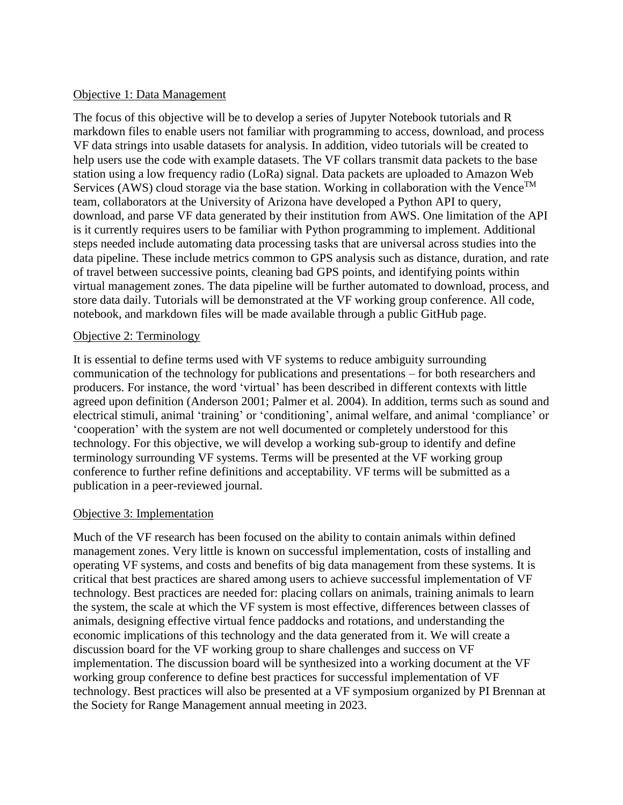### Objective 1: Data Management

The focus of this objective will be to develop a series of Jupyter Notebook tutorials and R markdown files to enable users not familiar with programming to access, download, and process VF data strings into usable datasets for analysis. In addition, video tutorials will be created to help users use the code with example datasets. The VF collars transmit data packets to the base station using a low frequency radio (LoRa) signal. Data packets are uploaded to Amazon Web Services (AWS) cloud storage via the base station. Working in collaboration with the Vence<sup>TM</sup> team, collaborators at the University of Arizona have developed a Python API to query, download, and parse VF data generated by their institution from AWS. One limitation of the API is it currently requires users to be familiar with Python programming to implement. Additional steps needed include automating data processing tasks that are universal across studies into the data pipeline. These include metrics common to GPS analysis such as distance, duration, and rate of travel between successive points, cleaning bad GPS points, and identifying points within virtual management zones. The data pipeline will be further automated to download, process, and store data daily. Tutorials will be demonstrated at the VF working group conference. All code, notebook, and markdown files will be made available through a public GitHub page.

## Objective 2: Terminology

It is essential to define terms used with VF systems to reduce ambiguity surrounding communication of the technology for publications and presentations – for both researchers and producers. For instance, the word 'virtual' has been described in different contexts with little agreed upon definition (Anderson 2001; Palmer et al. 2004). In addition, terms such as sound and electrical stimuli, animal 'training' or 'conditioning', animal welfare, and animal 'compliance' or 'cooperation' with the system are not well documented or completely understood for this technology. For this objective, we will develop a working sub-group to identify and define terminology surrounding VF systems. Terms will be presented at the VF working group conference to further refine definitions and acceptability. VF terms will be submitted as a publication in a peer-reviewed journal.

## Objective 3: Implementation

Much of the VF research has been focused on the ability to contain animals within defined management zones. Very little is known on successful implementation, costs of installing and operating VF systems, and costs and benefits of big data management from these systems. It is critical that best practices are shared among users to achieve successful implementation of VF technology. Best practices are needed for: placing collars on animals, training animals to learn the system, the scale at which the VF system is most effective, differences between classes of animals, designing effective virtual fence paddocks and rotations, and understanding the economic implications of this technology and the data generated from it. We will create a discussion board for the VF working group to share challenges and success on VF implementation. The discussion board will be synthesized into a working document at the VF working group conference to define best practices for successful implementation of VF technology. Best practices will also be presented at a VF symposium organized by PI Brennan at the Society for Range Management annual meeting in 2023.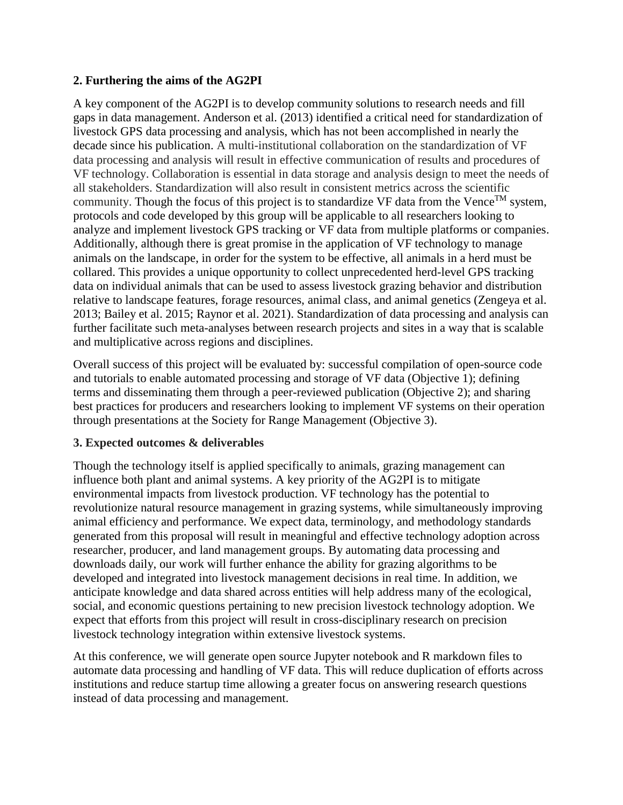# **2. Furthering the aims of the AG2PI**

A key component of the AG2PI is to develop community solutions to research needs and fill gaps in data management. Anderson et al. (2013) identified a critical need for standardization of livestock GPS data processing and analysis, which has not been accomplished in nearly the decade since his publication. A multi-institutional collaboration on the standardization of VF data processing and analysis will result in effective communication of results and procedures of VF technology. Collaboration is essential in data storage and analysis design to meet the needs of all stakeholders. Standardization will also result in consistent metrics across the scientific community. Though the focus of this project is to standardize VF data from the Vence<sup>TM</sup> system, protocols and code developed by this group will be applicable to all researchers looking to analyze and implement livestock GPS tracking or VF data from multiple platforms or companies. Additionally, although there is great promise in the application of VF technology to manage animals on the landscape, in order for the system to be effective, all animals in a herd must be collared. This provides a unique opportunity to collect unprecedented herd-level GPS tracking data on individual animals that can be used to assess livestock grazing behavior and distribution relative to landscape features, forage resources, animal class, and animal genetics (Zengeya et al. 2013; Bailey et al. 2015; Raynor et al. 2021). Standardization of data processing and analysis can further facilitate such meta-analyses between research projects and sites in a way that is scalable and multiplicative across regions and disciplines.

Overall success of this project will be evaluated by: successful compilation of open-source code and tutorials to enable automated processing and storage of VF data (Objective 1); defining terms and disseminating them through a peer-reviewed publication (Objective 2); and sharing best practices for producers and researchers looking to implement VF systems on their operation through presentations at the Society for Range Management (Objective 3).

# **3. Expected outcomes & deliverables**

Though the technology itself is applied specifically to animals, grazing management can influence both plant and animal systems. A key priority of the AG2PI is to mitigate environmental impacts from livestock production. VF technology has the potential to revolutionize natural resource management in grazing systems, while simultaneously improving animal efficiency and performance. We expect data, terminology, and methodology standards generated from this proposal will result in meaningful and effective technology adoption across researcher, producer, and land management groups. By automating data processing and downloads daily, our work will further enhance the ability for grazing algorithms to be developed and integrated into livestock management decisions in real time. In addition, we anticipate knowledge and data shared across entities will help address many of the ecological, social, and economic questions pertaining to new precision livestock technology adoption. We expect that efforts from this project will result in cross-disciplinary research on precision livestock technology integration within extensive livestock systems.

At this conference, we will generate open source Jupyter notebook and R markdown files to automate data processing and handling of VF data. This will reduce duplication of efforts across institutions and reduce startup time allowing a greater focus on answering research questions instead of data processing and management.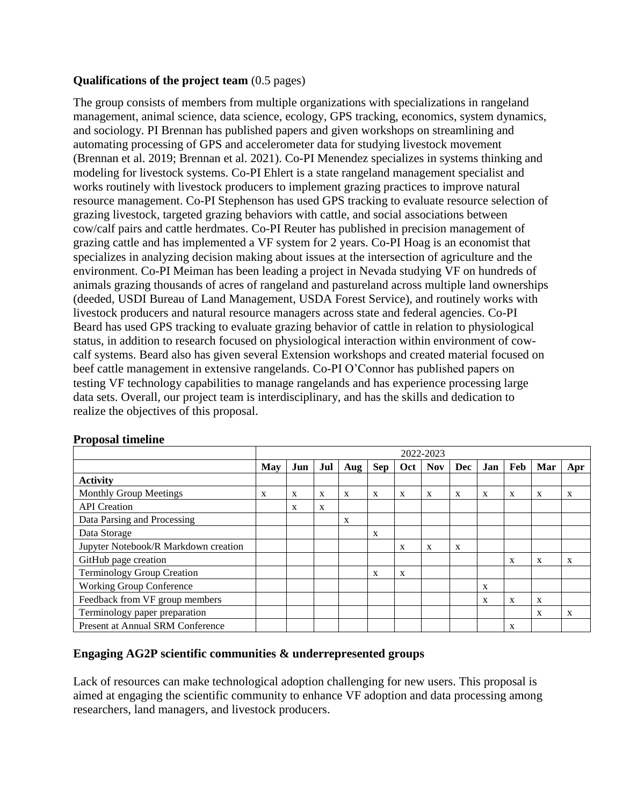# **Qualifications of the project team** (0.5 pages)

The group consists of members from multiple organizations with specializations in rangeland management, animal science, data science, ecology, GPS tracking, economics, system dynamics, and sociology. PI Brennan has published papers and given workshops on streamlining and automating processing of GPS and accelerometer data for studying livestock movement (Brennan et al. 2019; Brennan et al. 2021). Co-PI Menendez specializes in systems thinking and modeling for livestock systems. Co-PI Ehlert is a state rangeland management specialist and works routinely with livestock producers to implement grazing practices to improve natural resource management. Co-PI Stephenson has used GPS tracking to evaluate resource selection of grazing livestock, targeted grazing behaviors with cattle, and social associations between cow/calf pairs and cattle herdmates. Co-PI Reuter has published in precision management of grazing cattle and has implemented a VF system for 2 years. Co-PI Hoag is an economist that specializes in analyzing decision making about issues at the intersection of agriculture and the environment. Co-PI Meiman has been leading a project in Nevada studying VF on hundreds of animals grazing thousands of acres of rangeland and pastureland across multiple land ownerships (deeded, USDI Bureau of Land Management, USDA Forest Service), and routinely works with livestock producers and natural resource managers across state and federal agencies. Co-PI Beard has used GPS tracking to evaluate grazing behavior of cattle in relation to physiological status, in addition to research focused on physiological interaction within environment of cowcalf systems. Beard also has given several Extension workshops and created material focused on beef cattle management in extensive rangelands. Co-PI O'Connor has published papers on testing VF technology capabilities to manage rangelands and has experience processing large data sets. Overall, our project team is interdisciplinary, and has the skills and dedication to realize the objectives of this proposal.

|                                      | 2022-2023    |     |     |              |              |              |            |              |     |     |     |              |
|--------------------------------------|--------------|-----|-----|--------------|--------------|--------------|------------|--------------|-----|-----|-----|--------------|
|                                      | May          | Jun | Jul | Aug          | <b>Sep</b>   | Oct          | <b>Nov</b> | Dec          | Jan | Feb | Mar | Apr          |
| <b>Activity</b>                      |              |     |     |              |              |              |            |              |     |     |     |              |
| <b>Monthly Group Meetings</b>        | $\mathbf{X}$ | X   | X   | $\mathbf{X}$ | $\mathbf{X}$ | X            | X          | $\mathbf{X}$ | X   | X   | X   | $\mathbf{X}$ |
| <b>API</b> Creation                  |              | X   | X   |              |              |              |            |              |     |     |     |              |
| Data Parsing and Processing          |              |     |     | $\mathbf{X}$ |              |              |            |              |     |     |     |              |
| Data Storage                         |              |     |     |              | $\mathbf{X}$ |              |            |              |     |     |     |              |
| Jupyter Notebook/R Markdown creation |              |     |     |              |              | X            | X          | X            |     |     |     |              |
| GitHub page creation                 |              |     |     |              |              |              |            |              |     | X   | X   | X            |
| <b>Terminology Group Creation</b>    |              |     |     |              | $\mathbf{X}$ | $\mathbf{X}$ |            |              |     |     |     |              |
| <b>Working Group Conference</b>      |              |     |     |              |              |              |            |              | X   |     |     |              |
| Feedback from VF group members       |              |     |     |              |              |              |            |              | X   | X   | X   |              |
| Terminology paper preparation        |              |     |     |              |              |              |            |              |     |     | X   | X            |
| Present at Annual SRM Conference     |              |     |     |              |              |              |            |              |     | X   |     |              |

### **Proposal timeline**

## **Engaging AG2P scientific communities & underrepresented groups**

Lack of resources can make technological adoption challenging for new users. This proposal is aimed at engaging the scientific community to enhance VF adoption and data processing among researchers, land managers, and livestock producers.